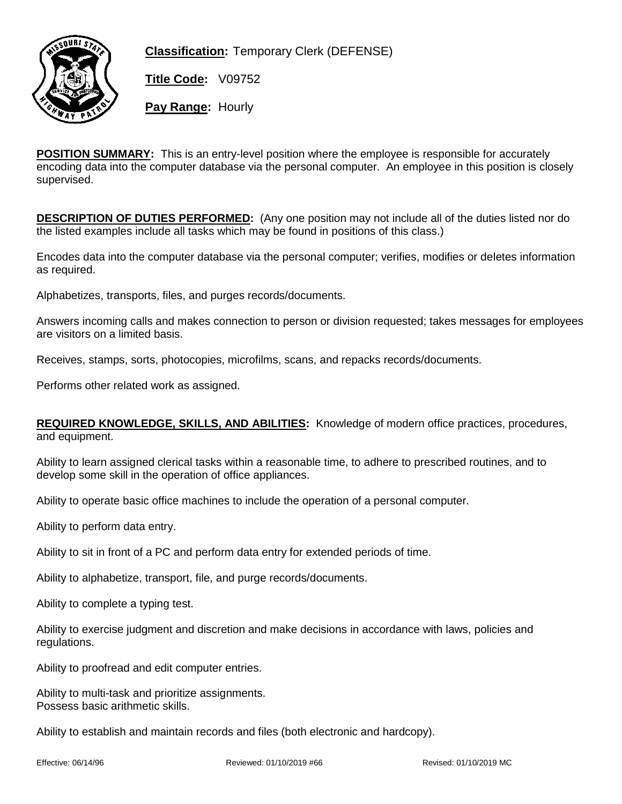

**Classification:** Temporary Clerk (DEFENSE)

**Title Code:** V09752

**Pay Range:** Hourly

**POSITION SUMMARY:** This is an entry-level position where the employee is responsible for accurately encoding data into the computer database via the personal computer. An employee in this position is closely supervised.

**DESCRIPTION OF DUTIES PERFORMED:** (Any one position may not include all of the duties listed nor do the listed examples include all tasks which may be found in positions of this class.)

Encodes data into the computer database via the personal computer; verifies, modifies or deletes information as required.

Alphabetizes, transports, files, and purges records/documents.

Answers incoming calls and makes connection to person or division requested; takes messages for employees are visitors on a limited basis.

Receives, stamps, sorts, photocopies, microfilms, scans, and repacks records/documents.

Performs other related work as assigned.

**REQUIRED KNOWLEDGE, SKILLS, AND ABILITIES:** Knowledge of modern office practices, procedures, and equipment.

Ability to learn assigned clerical tasks within a reasonable time, to adhere to prescribed routines, and to develop some skill in the operation of office appliances.

Ability to operate basic office machines to include the operation of a personal computer.

Ability to perform data entry.

Ability to sit in front of a PC and perform data entry for extended periods of time.

Ability to alphabetize, transport, file, and purge records/documents.

Ability to complete a typing test.

Ability to exercise judgment and discretion and make decisions in accordance with laws, policies and regulations.

Ability to proofread and edit computer entries.

Ability to multi-task and prioritize assignments. Possess basic arithmetic skills.

Ability to establish and maintain records and files (both electronic and hardcopy).